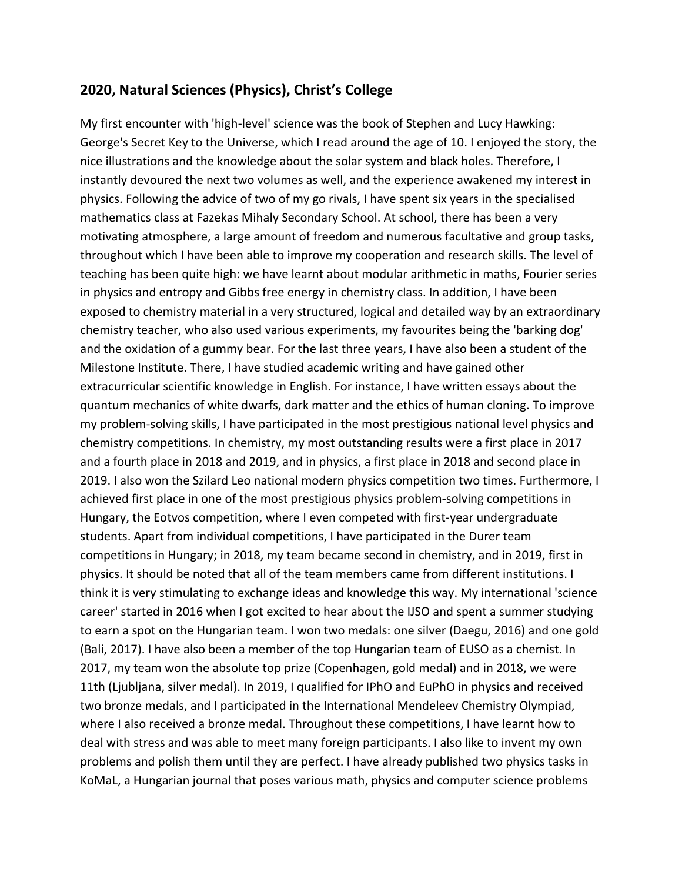## **2020, Natural Sciences (Physics), Christ's College**

My first encounter with 'high-level' science was the book of Stephen and Lucy Hawking: George's Secret Key to the Universe, which I read around the age of 10. I enjoyed the story, the nice illustrations and the knowledge about the solar system and black holes. Therefore, I instantly devoured the next two volumes as well, and the experience awakened my interest in physics. Following the advice of two of my go rivals, I have spent six years in the specialised mathematics class at Fazekas Mihaly Secondary School. At school, there has been a very motivating atmosphere, a large amount of freedom and numerous facultative and group tasks, throughout which I have been able to improve my cooperation and research skills. The level of teaching has been quite high: we have learnt about modular arithmetic in maths, Fourier series in physics and entropy and Gibbs free energy in chemistry class. In addition, I have been exposed to chemistry material in a very structured, logical and detailed way by an extraordinary chemistry teacher, who also used various experiments, my favourites being the 'barking dog' and the oxidation of a gummy bear. For the last three years, I have also been a student of the Milestone Institute. There, I have studied academic writing and have gained other extracurricular scientific knowledge in English. For instance, I have written essays about the quantum mechanics of white dwarfs, dark matter and the ethics of human cloning. To improve my problem-solving skills, I have participated in the most prestigious national level physics and chemistry competitions. In chemistry, my most outstanding results were a first place in 2017 and a fourth place in 2018 and 2019, and in physics, a first place in 2018 and second place in 2019. I also won the Szilard Leo national modern physics competition two times. Furthermore, I achieved first place in one of the most prestigious physics problem-solving competitions in Hungary, the Eotvos competition, where I even competed with first-year undergraduate students. Apart from individual competitions, I have participated in the Durer team competitions in Hungary; in 2018, my team became second in chemistry, and in 2019, first in physics. It should be noted that all of the team members came from different institutions. I think it is very stimulating to exchange ideas and knowledge this way. My international 'science career' started in 2016 when I got excited to hear about the IJSO and spent a summer studying to earn a spot on the Hungarian team. I won two medals: one silver (Daegu, 2016) and one gold (Bali, 2017). I have also been a member of the top Hungarian team of EUSO as a chemist. In 2017, my team won the absolute top prize (Copenhagen, gold medal) and in 2018, we were 11th (Ljubljana, silver medal). In 2019, I qualified for IPhO and EuPhO in physics and received two bronze medals, and I participated in the International Mendeleev Chemistry Olympiad, where I also received a bronze medal. Throughout these competitions, I have learnt how to deal with stress and was able to meet many foreign participants. I also like to invent my own problems and polish them until they are perfect. I have already published two physics tasks in KoMaL, a Hungarian journal that poses various math, physics and computer science problems